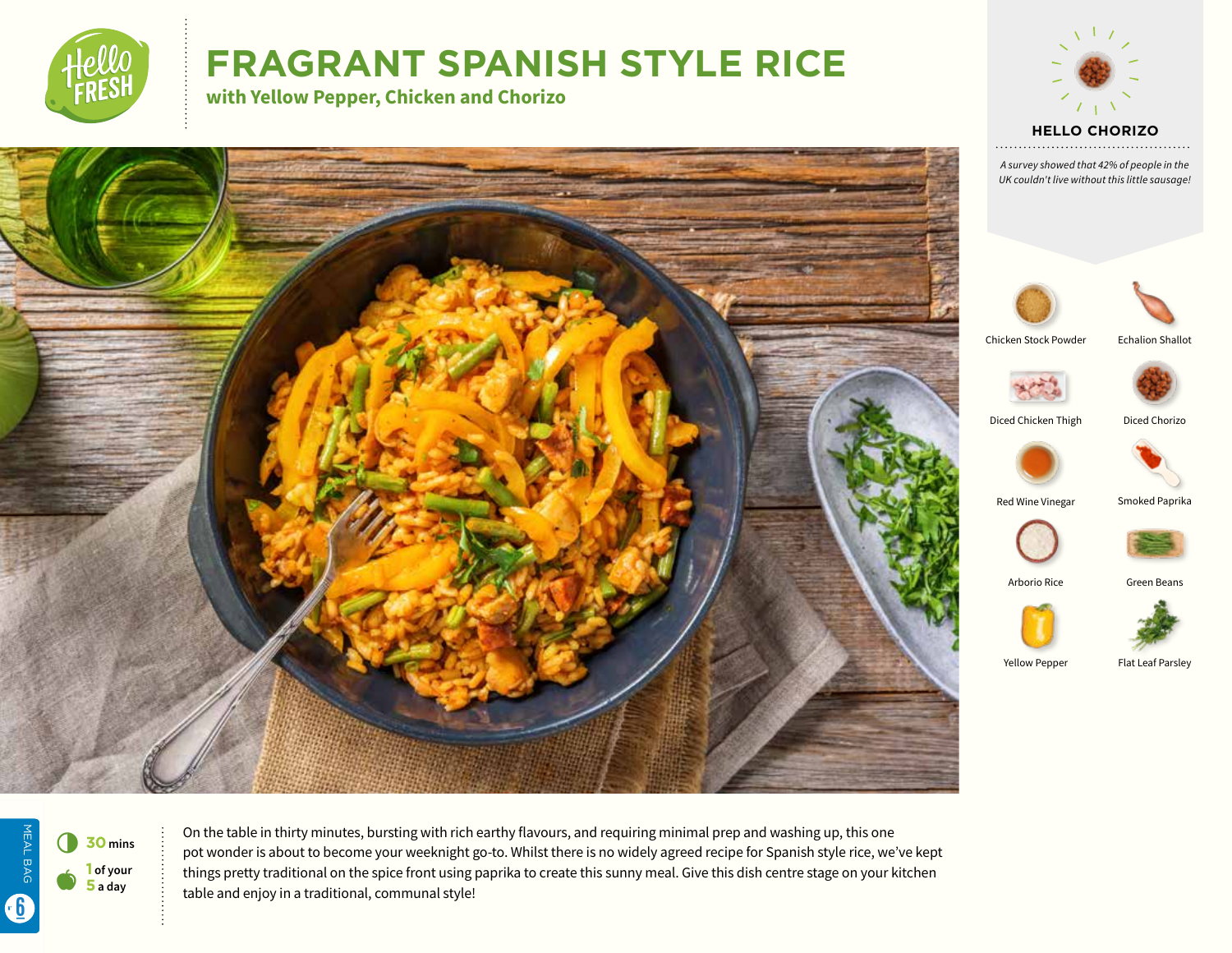

# **FRAGRANT SPANISH STYLE RICE**

**with Yellow Pepper, Chicken and Chorizo** 



*A survey showed that 42% of people in the UK couldn't live without this little sausage!* 





Chicken Stock Powder Echalion Shallot



Diced Chicken Thigh Diced Chorizo



Red Wine Vinegar Smoked Paprika





Arborio Rice **Green Beans** 



Yellow Pepper Flat Leaf Parsley

MEAL BAG 6 **<sup>30</sup> mins 1 of your**   $\bullet$ **5 a day**

MEAL BAG

6

On the table in thirty minutes, bursting with rich earthy flavours, and requiring minimal prep and washing up, this one pot wonder is about to become your weeknight go-to. Whilst there is no widely agreed recipe for Spanish style rice, we've kept things pretty traditional on the spice front using paprika to create this sunny meal. Give this dish centre stage on your kitchen table and enjoy in a traditional, communal style!